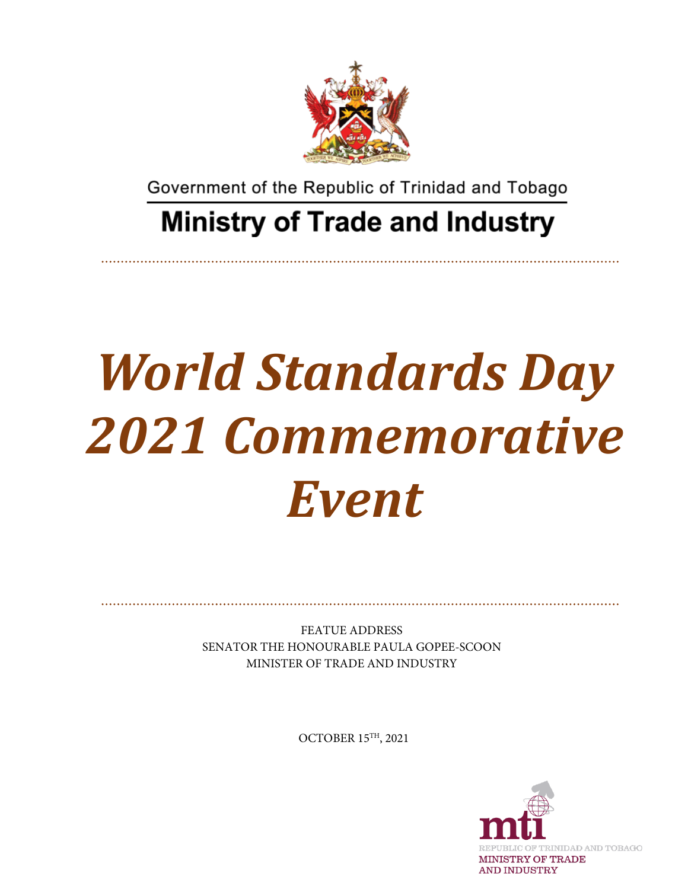

Government of the Republic of Trinidad and Tobago

## **Ministry of Trade and Industry**

## *World Standards Day 2021 Commemorative Event*

FEATUE ADDRESS SENATOR THE HONOURABLE PAULA GOPEE-SCOON MINISTER OF TRADE AND INDUSTRY

OCTOBER 15TH, 2021

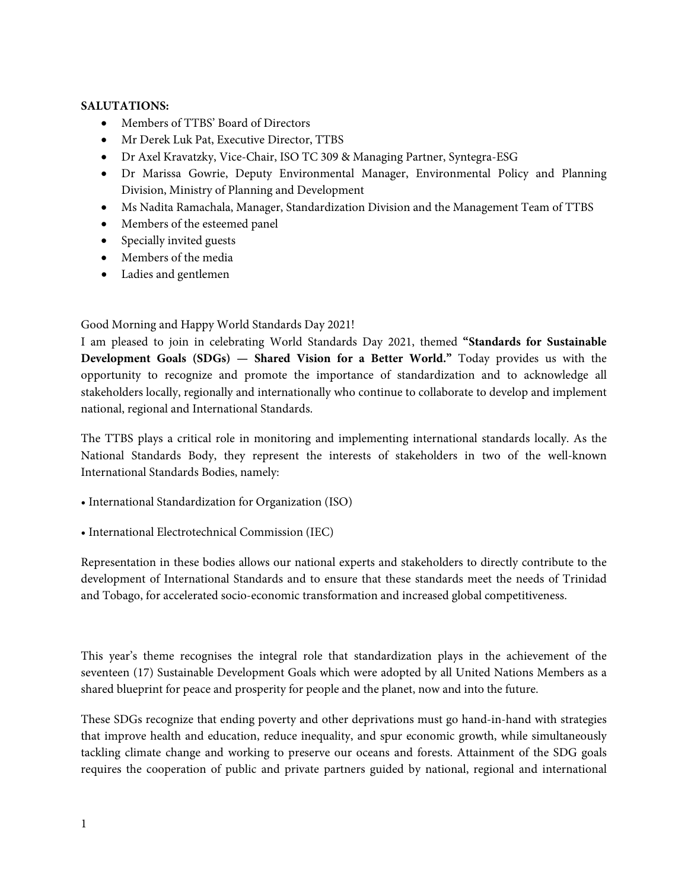## **SALUTATIONS:**

- Members of TTBS' Board of Directors
- Mr Derek Luk Pat, Executive Director, TTBS
- Dr Axel Kravatzky, Vice-Chair, ISO TC 309 & Managing Partner, Syntegra-ESG
- Dr Marissa Gowrie, Deputy Environmental Manager, Environmental Policy and Planning Division, Ministry of Planning and Development
- Ms Nadita Ramachala, Manager, Standardization Division and the Management Team of TTBS
- Members of the esteemed panel
- Specially invited guests
- Members of the media
- Ladies and gentlemen

Good Morning and Happy World Standards Day 2021!

I am pleased to join in celebrating World Standards Day 2021, themed **"Standards for Sustainable Development Goals (SDGs) — Shared Vision for a Better World."** Today provides us with the opportunity to recognize and promote the importance of standardization and to acknowledge all stakeholders locally, regionally and internationally who continue to collaborate to develop and implement national, regional and International Standards.

The TTBS plays a critical role in monitoring and implementing international standards locally. As the National Standards Body, they represent the interests of stakeholders in two of the well-known International Standards Bodies, namely:

- International Standardization for Organization (ISO)
- International Electrotechnical Commission (IEC)

Representation in these bodies allows our national experts and stakeholders to directly contribute to the development of International Standards and to ensure that these standards meet the needs of Trinidad and Tobago, for accelerated socio-economic transformation and increased global competitiveness.

This year's theme recognises the integral role that standardization plays in the achievement of the seventeen (17) Sustainable Development Goals which were adopted by all United Nations Members as a shared blueprint for peace and prosperity for people and the planet, now and into the future.

These SDGs recognize that ending poverty and other deprivations must go hand-in-hand with strategies that improve health and education, reduce inequality, and spur economic growth, while simultaneously tackling climate change and working to preserve our oceans and forests. Attainment of the SDG goals requires the cooperation of public and private partners guided by national, regional and international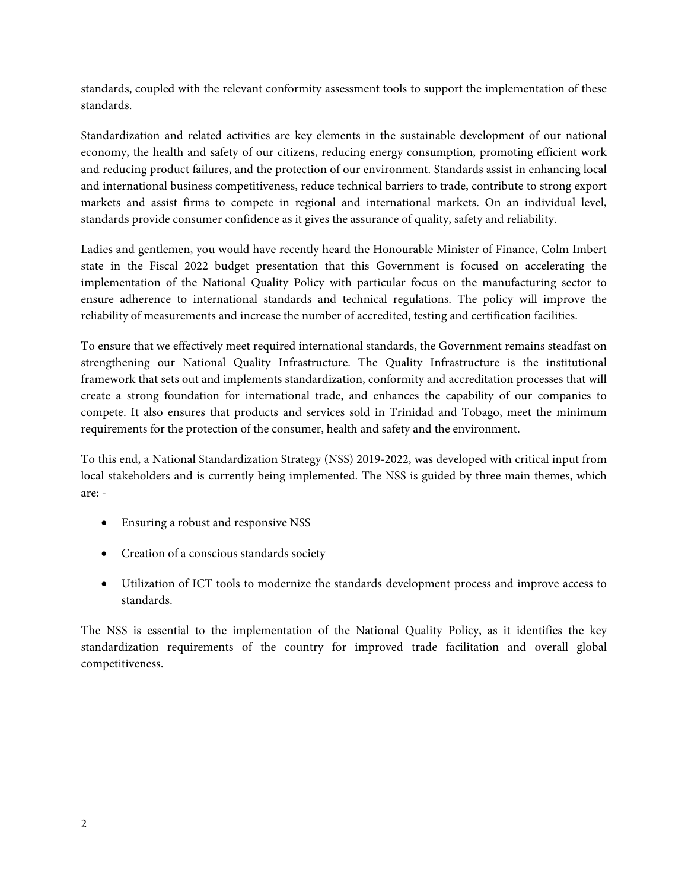standards, coupled with the relevant conformity assessment tools to support the implementation of these standards.

Standardization and related activities are key elements in the sustainable development of our national economy, the health and safety of our citizens, reducing energy consumption, promoting efficient work and reducing product failures, and the protection of our environment. Standards assist in enhancing local and international business competitiveness, reduce technical barriers to trade, contribute to strong export markets and assist firms to compete in regional and international markets. On an individual level, standards provide consumer confidence as it gives the assurance of quality, safety and reliability.

Ladies and gentlemen, you would have recently heard the Honourable Minister of Finance, Colm Imbert state in the Fiscal 2022 budget presentation that this Government is focused on accelerating the implementation of the National Quality Policy with particular focus on the manufacturing sector to ensure adherence to international standards and technical regulations. The policy will improve the reliability of measurements and increase the number of accredited, testing and certification facilities.

To ensure that we effectively meet required international standards, the Government remains steadfast on strengthening our National Quality Infrastructure. The Quality Infrastructure is the institutional framework that sets out and implements standardization, conformity and accreditation processes that will create a strong foundation for international trade, and enhances the capability of our companies to compete. It also ensures that products and services sold in Trinidad and Tobago, meet the minimum requirements for the protection of the consumer, health and safety and the environment.

To this end, a National Standardization Strategy (NSS) 2019-2022, was developed with critical input from local stakeholders and is currently being implemented. The NSS is guided by three main themes, which are: -

- Ensuring a robust and responsive NSS
- Creation of a conscious standards society
- Utilization of ICT tools to modernize the standards development process and improve access to standards.

The NSS is essential to the implementation of the National Quality Policy, as it identifies the key standardization requirements of the country for improved trade facilitation and overall global competitiveness.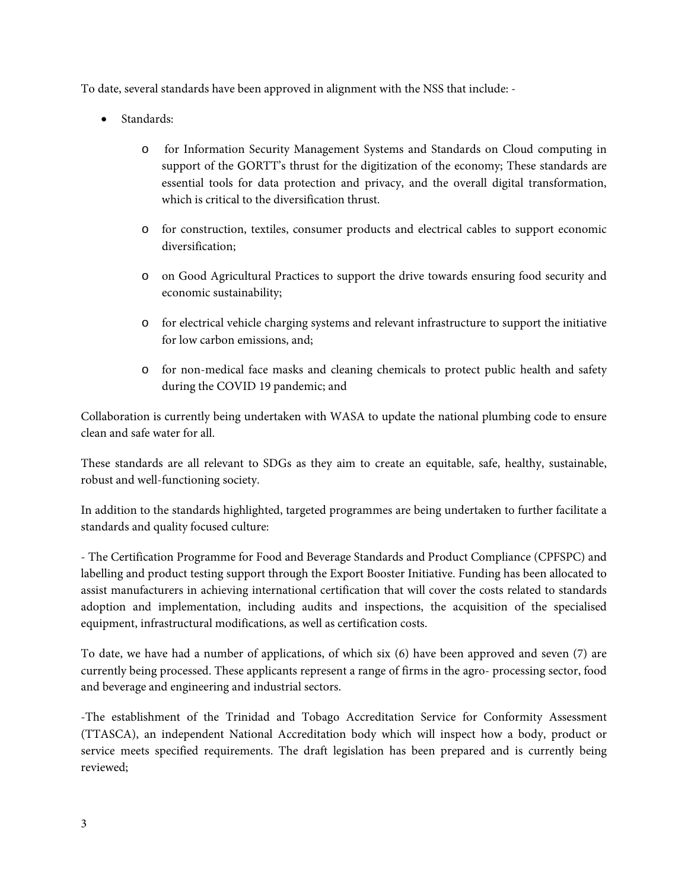To date, several standards have been approved in alignment with the NSS that include: -

- Standards:
	- o for Information Security Management Systems and Standards on Cloud computing in support of the GORTT's thrust for the digitization of the economy; These standards are essential tools for data protection and privacy, and the overall digital transformation, which is critical to the diversification thrust.
	- o for construction, textiles, consumer products and electrical cables to support economic diversification;
	- o on Good Agricultural Practices to support the drive towards ensuring food security and economic sustainability;
	- o for electrical vehicle charging systems and relevant infrastructure to support the initiative for low carbon emissions, and;
	- o for non-medical face masks and cleaning chemicals to protect public health and safety during the COVID 19 pandemic; and

Collaboration is currently being undertaken with WASA to update the national plumbing code to ensure clean and safe water for all.

These standards are all relevant to SDGs as they aim to create an equitable, safe, healthy, sustainable, robust and well-functioning society.

In addition to the standards highlighted, targeted programmes are being undertaken to further facilitate a standards and quality focused culture:

- The Certification Programme for Food and Beverage Standards and Product Compliance (CPFSPC) and labelling and product testing support through the Export Booster Initiative. Funding has been allocated to assist manufacturers in achieving international certification that will cover the costs related to standards adoption and implementation, including audits and inspections, the acquisition of the specialised equipment, infrastructural modifications, as well as certification costs.

To date, we have had a number of applications, of which six (6) have been approved and seven (7) are currently being processed. These applicants represent a range of firms in the agro- processing sector, food and beverage and engineering and industrial sectors.

-The establishment of the Trinidad and Tobago Accreditation Service for Conformity Assessment (TTASCA), an independent National Accreditation body which will inspect how a body, product or service meets specified requirements. The draft legislation has been prepared and is currently being reviewed;